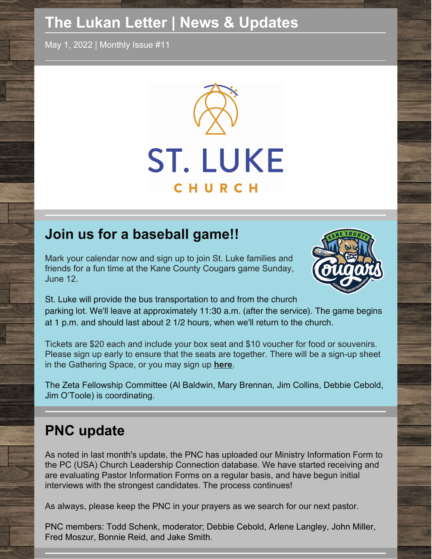## **The Lukan Letter | News & Updates**

May 1, 2022 | Monthly Issue #11



### **Join us for a baseball game!!**

Mark your calendar now and sign up to join St. Luke families and friends for a fun time at the Kane County Cougars game Sunday, June 12.



St. Luke will provide the bus transportation to and from the church parking lot. We'll leave at approximately 11:30 a.m. (after the service). The game begins at 1 p.m. and should last about 2 1/2 hours, when we'll return to the church.

Tickets are \$20 each and include your box seat and \$10 voucher for food or souvenirs. Please sign up early to ensure that the seats are together. There will be a sign-up sheet in the Gathering Space, or you may sign up **[here](https://www.signupgenius.com/go/508084BA5AF2BA5FF2-kane)**.

The Zeta Fellowship Committee (Al Baldwin, Mary Brennan, Jim Collins, Debbie Cebold, Jim O'Toole) is coordinating.

### **PNC update**

As noted in last month's update, the PNC has uploaded our Ministry Information Form to the PC (USA) Church Leadership Connection database. We have started receiving and are evaluating Pastor Information Forms on a regular basis, and have begun initial interviews with the strongest candidates. The process continues!

As always, please keep the PNC in your prayers as we search for our next pastor.

PNC members: Todd Schenk, moderator; Debbie Cebold, Arlene Langley, John Miller, Fred Moszur, Bonnie Reid, and Jake Smith.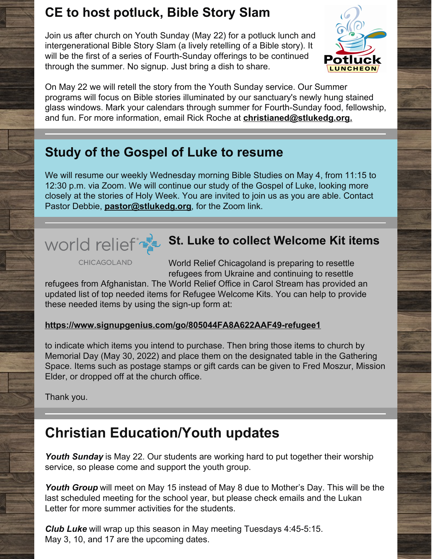### **CE to host potluck, Bible Story Slam**

Join us after church on Youth Sunday (May 22) for a potluck lunch and intergenerational Bible Story Slam (a lively retelling of a Bible story). It will be the first of a series of Fourth-Sunday offerings to be continued through the summer. No signup. Just bring a dish to share.



On May 22 we will retell the story from the Youth Sunday service. Our Summer programs will focus on Bible stories illuminated by our sanctuary's newly hung stained glass windows. Mark your calendars through summer for Fourth-Sunday food, fellowship, and fun. For more information, email Rick Roche at **[christianed@stlukedg.org.](mailto:christianed@stlukedg.org)**

### **Study of the Gospel of Luke to resume**

We will resume our weekly Wednesday morning Bible Studies on May 4, from 11:15 to 12:30 p.m. via Zoom. We will continue our study of the Gospel of Luke, looking more closely at the stories of Holy Week. You are invited to join us as you are able. Contact Pastor Debbie, **[pastor@stlukedg.org](mailto:pastor@stlukedg.org)**, for the Zoom link.

# **St. Luke to collect Welcome Kit items**

**CHICAGOLAND** 

World Relief Chicagoland is preparing to resettle refugees from Ukraine and continuing to resettle

refugees from Afghanistan. The World Relief Office in Carol Stream has provided an updated list of top needed items for Refugee Welcome Kits. You can help to provide these needed items by using the sign-up form at:

### **<https://www.signupgenius.com/go/805044FA8A622AAF49-refugee1>**

to indicate which items you intend to purchase. Then bring those items to church by Memorial Day (May 30, 2022) and place them on the designated table in the Gathering Space. Items such as postage stamps or gift cards can be given to Fred Moszur, Mission Elder, or dropped off at the church office.

Thank you.

### **Christian Education/Youth updates**

*Youth Sunday* is May 22. Our students are working hard to put together their worship service, so please come and support the youth group.

*Youth Group* will meet on May 15 instead of May 8 due to Mother's Day. This will be the last scheduled meeting for the school year, but please check emails and the Lukan Letter for more summer activities for the students.

*Club Luke* will wrap up this season in May meeting Tuesdays 4:45-5:15. May 3, 10, and 17 are the upcoming dates.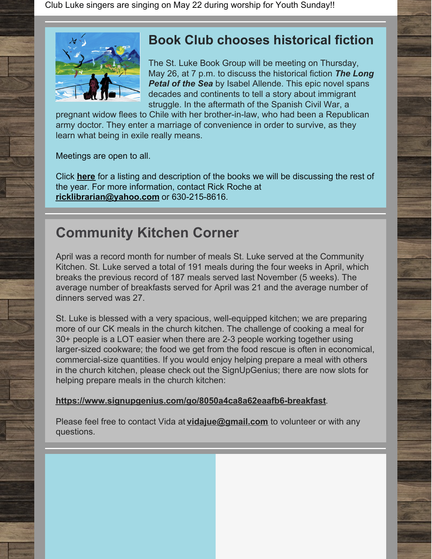Club Luke singers are singing on May 22 during worship for Youth Sunday!!



### **Book Club chooses historical fiction**

The St. Luke Book Group will be meeting on Thursday, May 26, at 7 p.m. to discuss the historical fiction *The Long Petal of the Sea* by Isabel Allende. This epic novel spans decades and continents to tell a story about immigrant struggle. In the aftermath of the Spanish Civil War, a

pregnant widow flees to Chile with her brother-in-law, who had been a Republican army doctor. They enter a marriage of convenience in order to survive, as they learn what being in exile really means.

Meetings are open to all.

Click **[here](https://files.constantcontact.com/af238e8a601/8e2eb7c3-fdf1-4a6c-8a48-83ee32092d28.pdf)** for a listing and description of the books we will be discussing the rest of the year. For more information, contact Rick Roche at **[ricklibrarian@yahoo.com](mailto:ricklibrarian@yahoo.com)** or 630-215-8616.

### **Community Kitchen Corner**

April was a record month for number of meals St. Luke served at the Community Kitchen. St. Luke served a total of 191 meals during the four weeks in April, which breaks the previous record of 187 meals served last November (5 weeks). The average number of breakfasts served for April was 21 and the average number of dinners served was 27.

St. Luke is blessed with a very spacious, well-equipped kitchen; we are preparing more of our CK meals in the church kitchen. The challenge of cooking a meal for 30+ people is a LOT easier when there are 2-3 people working together using larger-sized cookware; the food we get from the food rescue is often in economical, commercial-size quantities. If you would enjoy helping prepare a meal with others in the church kitchen, please check out the SignUpGenius; there are now slots for helping prepare meals in the church kitchen:

#### **<https://www.signupgenius.com/go/8050a4ca8a62eaafb6-breakfast>**.

Please feel free to contact Vida at **[vidajue@gmail.com](http://vidajue@gmail.com)** to volunteer or with any questions.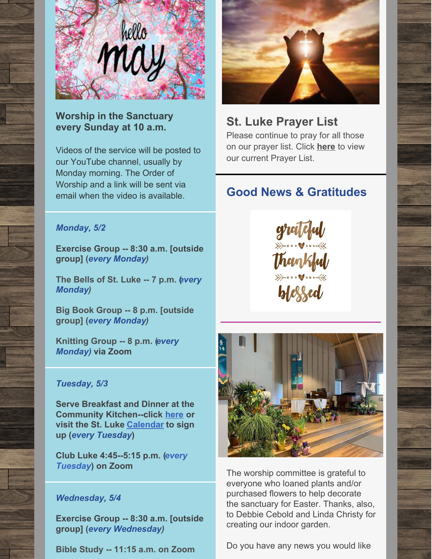

**Worship in the Sanctuary every Sunday at 10 a.m.**

Videos of the service will be posted to our YouTube channel, usually by Monday morning. The Order of Worship and a link will be sent via email when the video is available.



### **St. Luke Prayer List**

Please continue to pray for all those on our prayer list. Click **[here](https://docs.google.com/document/d/1xEAa64yLNOkP8ZWdwJZ9OJiypUaLpFwgL5BUXclkz6A/edit?usp=sharing)** to view our current Prayer List.

### **Good News & Gratitudes**

#### *Monday, 5/2*

**Exercise Group -- 8:30 a.m. [outside group] (***every Monday)*

**The Bells of St. Luke -- 7 p.m.** *e***(** *very Monday)*

**Big Book Group -- 8 p.m. [outside group] (***every Monday)*

**Knitting Group -- 8 p.m. (***every Monday)* **via Zoom**

#### *Tuesday, 5/3*

**Serve Breakfast and Dinner at the Community Kitchen--click [here](https://www.signupgenius.com/go/8050a4ca8a62eaafb6-breakfast) or visit the St. Luke [Calendar](https://www.stlukedg.org/events) to sign up (***every Tuesday***)**

**Club Luke 4:45--5:15 p.m. (***every Tuesday***) on Zoom**

#### *Wednesday, 5/4*

**Exercise Group -- 8:30 a.m. [outside group] (***every Wednesday)*

**Bible Study -- 11:15 a.m. on Zoom**





The worship committee is grateful to everyone who loaned plants and/or purchased flowers to help decorate the sanctuary for Easter. Thanks, also, to Debbie Cebold and Linda Christy for creating our indoor garden.

Do you have any news you would like